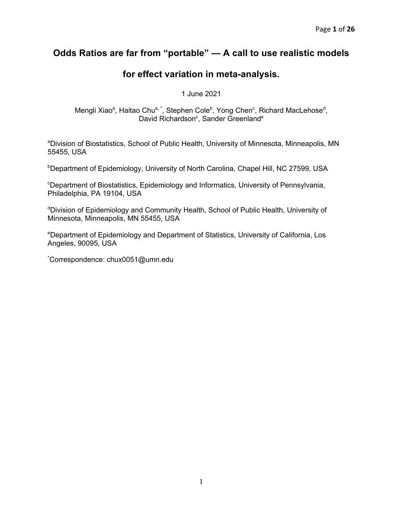# **Odds Ratios are far from "portable" — A call to use realistic models**

# **for effect variation in meta-analysis.**

1 June 2021

Mengli Xiao<sup>a</sup>, Haitao Chu<sup>a, \*</sup>, Stephen Cole<sup>b</sup>, Yong Chen<sup>c</sup>, Richard MacLehose<sup>d</sup>, David Richardson<sup>c</sup>, Sander Greenland<sup>e</sup>

<sup>a</sup>Division of Biostatistics, School of Public Health, University of Minnesota, Minneapolis, MN 55455, USA

**Department of Epidemiology, University of North Carolina, Chapel Hill, NC 27599, USA** 

<sup>c</sup>Department of Biostatistics, Epidemiology and Informatics, University of Pennsylvania, Philadelphia, PA 19104, USA

<sup>d</sup>Division of Epidemiology and Community Health, School of Public Health, University of Minnesota, Minneapolis, MN 55455, USA

<sup>e</sup>Department of Epidemiology and Department of Statistics, University of California, Los Angeles, 90095, USA

\* Correspondence: chux0051@umn.edu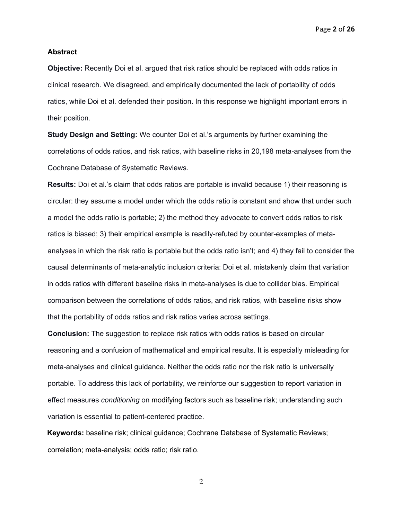Page **2** of **26**

#### **Abstract**

**Objective:** Recently Doi et al. argued that risk ratios should be replaced with odds ratios in clinical research. We disagreed, and empirically documented the lack of portability of odds ratios, while Doi et al. defended their position. In this response we highlight important errors in their position.

**Study Design and Setting:** We counter Doi et al.'s arguments by further examining the correlations of odds ratios, and risk ratios, with baseline risks in 20,198 meta-analyses from the Cochrane Database of Systematic Reviews.

**Results:** Doi et al.'s claim that odds ratios are portable is invalid because 1) their reasoning is circular: they assume a model under which the odds ratio is constant and show that under such a model the odds ratio is portable; 2) the method they advocate to convert odds ratios to risk ratios is biased; 3) their empirical example is readily-refuted by counter-examples of metaanalyses in which the risk ratio is portable but the odds ratio isn't; and 4) they fail to consider the causal determinants of meta-analytic inclusion criteria: Doi et al. mistakenly claim that variation in odds ratios with different baseline risks in meta-analyses is due to collider bias. Empirical comparison between the correlations of odds ratios, and risk ratios, with baseline risks show that the portability of odds ratios and risk ratios varies across settings.

**Conclusion:** The suggestion to replace risk ratios with odds ratios is based on circular reasoning and a confusion of mathematical and empirical results. It is especially misleading for meta-analyses and clinical guidance. Neither the odds ratio nor the risk ratio is universally portable. To address this lack of portability, we reinforce our suggestion to report variation in effect measures *conditioning* on modifying factors such as baseline risk; understanding such variation is essential to patient-centered practice.

**Keywords:** baseline risk; clinical guidance; Cochrane Database of Systematic Reviews; correlation; meta-analysis; odds ratio; risk ratio.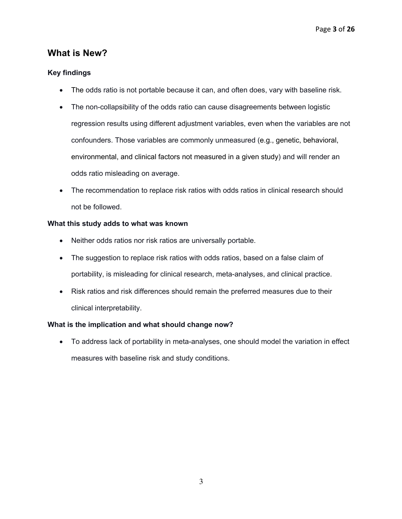# **What is New?**

## **Key findings**

- The odds ratio is not portable because it can, and often does, vary with baseline risk.
- The non-collapsibility of the odds ratio can cause disagreements between logistic regression results using different adjustment variables, even when the variables are not confounders. Those variables are commonly unmeasured (e.g., genetic, behavioral, environmental, and clinical factors not measured in a given study) and will render an odds ratio misleading on average.
- The recommendation to replace risk ratios with odds ratios in clinical research should not be followed.

## **What this study adds to what was known**

- Neither odds ratios nor risk ratios are universally portable.
- The suggestion to replace risk ratios with odds ratios, based on a false claim of portability, is misleading for clinical research, meta-analyses, and clinical practice.
- Risk ratios and risk differences should remain the preferred measures due to their clinical interpretability.

# **What is the implication and what should change now?**

• To address lack of portability in meta-analyses, one should model the variation in effect measures with baseline risk and study conditions.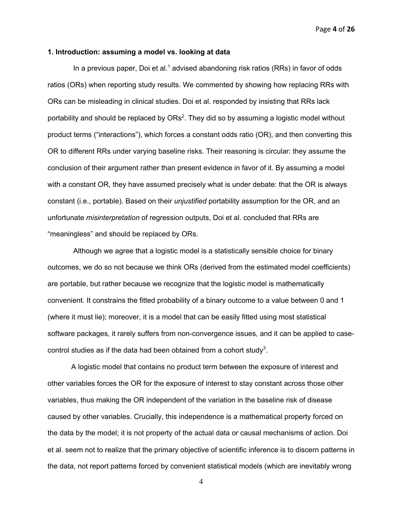Page **4** of **26**

#### **1. Introduction: assuming a model vs. looking at data**

In a previous paper, Doi et al.<sup>1</sup> advised abandoning risk ratios (RRs) in favor of odds ratios (ORs) when reporting study results. We commented by showing how replacing RRs with ORs can be misleading in clinical studies. Doi et al. responded by insisting that RRs lack portability and should be replaced by  $ORs<sup>2</sup>$ . They did so by assuming a logistic model without product terms ("interactions"), which forces a constant odds ratio (OR), and then converting this OR to different RRs under varying baseline risks. Their reasoning is circular: they assume the conclusion of their argument rather than present evidence in favor of it. By assuming a model with a constant OR, they have assumed precisely what is under debate: that the OR is always constant (i.e., portable). Based on their *unjustified* portability assumption for the OR, and an unfortunate *misinterpretation* of regression outputs, Doi et al. concluded that RRs are "meaningless" and should be replaced by ORs.

Although we agree that a logistic model is a statistically sensible choice for binary outcomes, we do so not because we think ORs (derived from the estimated model coefficients) are portable, but rather because we recognize that the logistic model is mathematically convenient. It constrains the fitted probability of a binary outcome to a value between 0 and 1 (where it must lie); moreover, it is a model that can be easily fitted using most statistical software packages, it rarely suffers from non-convergence issues, and it can be applied to casecontrol studies as if the data had been obtained from a cohort study<sup>3</sup>.

A logistic model that contains no product term between the exposure of interest and other variables forces the OR for the exposure of interest to stay constant across those other variables, thus making the OR independent of the variation in the baseline risk of disease caused by other variables. Crucially, this independence is a mathematical property forced on the data by the model; it is not property of the actual data or causal mechanisms of action. Doi et al. seem not to realize that the primary objective of scientific inference is to discern patterns in the data, not report patterns forced by convenient statistical models (which are inevitably wrong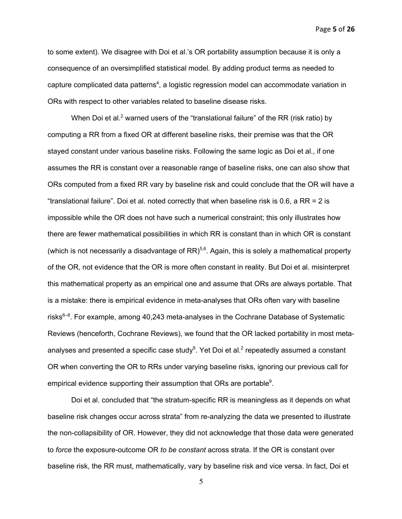Page **5** of **26**

to some extent). We disagree with Doi et al.'s OR portability assumption because it is only a consequence of an oversimplified statistical model. By adding product terms as needed to capture complicated data patterns<sup>4</sup>, a logistic regression model can accommodate variation in ORs with respect to other variables related to baseline disease risks.

When Doi et al.<sup>2</sup> warned users of the "translational failure" of the RR (risk ratio) by computing a RR from a fixed OR at different baseline risks, their premise was that the OR stayed constant under various baseline risks. Following the same logic as Doi et al., if one assumes the RR is constant over a reasonable range of baseline risks, one can also show that ORs computed from a fixed RR vary by baseline risk and could conclude that the OR will have a "translational failure". Doi et al. noted correctly that when baseline risk is 0.6, a RR = 2 is impossible while the OR does not have such a numerical constraint; this only illustrates how there are fewer mathematical possibilities in which RR is constant than in which OR is constant (which is not necessarily a disadvantage of  $RR$ )<sup>5,6</sup>. Again, this is solely a mathematical property of the OR, not evidence that the OR is more often constant in reality. But Doi et al. misinterpret this mathematical property as an empirical one and assume that ORs are always portable. That is a mistake: there is empirical evidence in meta-analyses that ORs often vary with baseline risks<sup>6–8</sup>. For example, among 40,243 meta-analyses in the Cochrane Database of Systematic Reviews (henceforth, Cochrane Reviews), we found that the OR lacked portability in most metaanalyses and presented a specific case study<sup>9</sup>. Yet Doi et al.<sup>2</sup> repeatedly assumed a constant OR when converting the OR to RRs under varying baseline risks, ignoring our previous call for empirical evidence supporting their assumption that ORs are portable $9$ .

Doi et al. concluded that "the stratum-specific RR is meaningless as it depends on what baseline risk changes occur across strata" from re-analyzing the data we presented to illustrate the non-collapsibility of OR. However, they did not acknowledge that those data were generated to *force* the exposure-outcome OR *to be constant* across strata. If the OR is constant over baseline risk, the RR must, mathematically, vary by baseline risk and vice versa. In fact, Doi et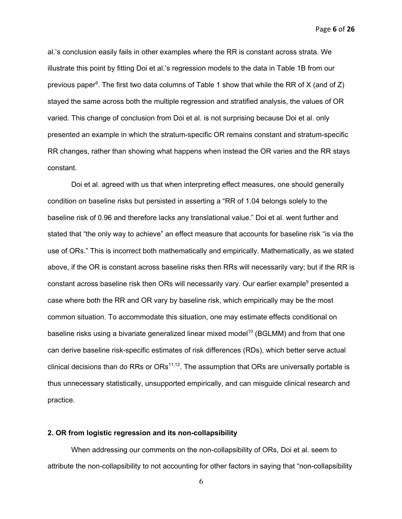Page **6** of **26**

al.'s conclusion easily fails in other examples where the RR is constant across strata. We illustrate this point by fitting Doi et al.'s regression models to the data in Table 1B from our previous paper<sup>9</sup>. The first two data columns of Table 1 show that while the RR of X (and of Z) stayed the same across both the multiple regression and stratified analysis, the values of OR varied. This change of conclusion from Doi et al. is not surprising because Doi et al. only presented an example in which the stratum-specific OR remains constant and stratum-specific RR changes, rather than showing what happens when instead the OR varies and the RR stays constant.

Doi et al. agreed with us that when interpreting effect measures, one should generally condition on baseline risks but persisted in asserting a "RR of 1.04 belongs solely to the baseline risk of 0.96 and therefore lacks any translational value." Doi et al. went further and stated that "the only way to achieve" an effect measure that accounts for baseline risk "is via the use of ORs." This is incorrect both mathematically and empirically. Mathematically, as we stated above, if the OR is constant across baseline risks then RRs will necessarily vary; but if the RR is constant across baseline risk then ORs will necessarily vary. Our earlier example<sup>9</sup> presented a case where both the RR and OR vary by baseline risk, which empirically may be the most common situation. To accommodate this situation, one may estimate effects conditional on baseline risks using a bivariate generalized linear mixed model<sup>10</sup> (BGLMM) and from that one can derive baseline risk-specific estimates of risk differences (RDs), which better serve actual clinical decisions than do RRs or  $ORs<sup>11,12</sup>$ . The assumption that ORs are universally portable is thus unnecessary statistically, unsupported empirically, and can misguide clinical research and practice.

### **2. OR from logistic regression and its non-collapsibility**

When addressing our comments on the non-collapsibility of ORs, Doi et al. seem to attribute the non-collapsibility to not accounting for other factors in saying that "non-collapsibility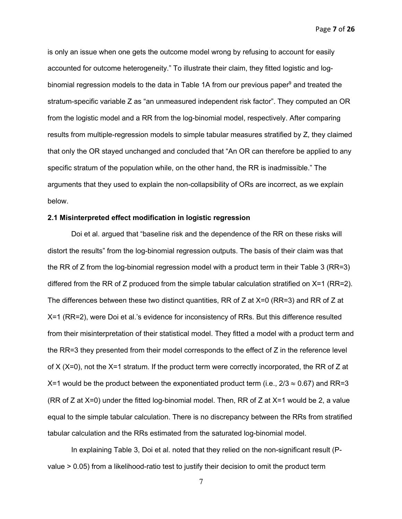Page **7** of **26**

is only an issue when one gets the outcome model wrong by refusing to account for easily accounted for outcome heterogeneity." To illustrate their claim, they fitted logistic and logbinomial regression models to the data in Table 1A from our previous paper<sup>9</sup> and treated the stratum-specific variable Z as "an unmeasured independent risk factor". They computed an OR from the logistic model and a RR from the log-binomial model, respectively. After comparing results from multiple-regression models to simple tabular measures stratified by Z, they claimed that only the OR stayed unchanged and concluded that "An OR can therefore be applied to any specific stratum of the population while, on the other hand, the RR is inadmissible." The arguments that they used to explain the non-collapsibility of ORs are incorrect, as we explain below.

### **2.1 Misinterpreted effect modification in logistic regression**

Doi et al. argued that "baseline risk and the dependence of the RR on these risks will distort the results" from the log-binomial regression outputs. The basis of their claim was that the RR of Z from the log-binomial regression model with a product term in their Table 3 (RR=3) differed from the RR of Z produced from the simple tabular calculation stratified on X=1 (RR=2). The differences between these two distinct quantities, RR of Z at X=0 (RR=3) and RR of Z at X=1 (RR=2), were Doi et al.'s evidence for inconsistency of RRs. But this difference resulted from their misinterpretation of their statistical model. They fitted a model with a product term and the RR=3 they presented from their model corresponds to the effect of Z in the reference level of X (X=0), not the X=1 stratum. If the product term were correctly incorporated, the RR of Z at X=1 would be the product between the exponentiated product term (i.e.,  $2/3 \approx 0.67$ ) and RR=3 (RR of Z at X=0) under the fitted log-binomial model. Then, RR of Z at X=1 would be 2, a value equal to the simple tabular calculation. There is no discrepancy between the RRs from stratified tabular calculation and the RRs estimated from the saturated log-binomial model.

In explaining Table 3, Doi et al. noted that they relied on the non-significant result (Pvalue > 0.05) from a likelihood-ratio test to justify their decision to omit the product term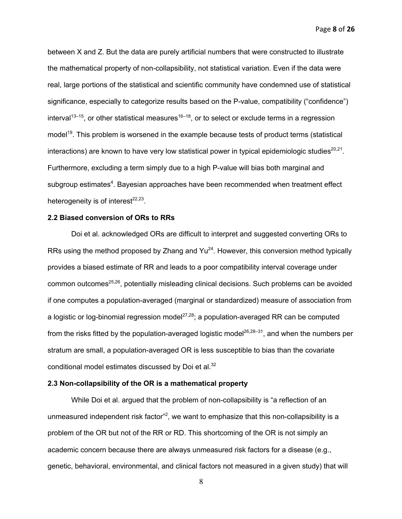Page **8** of **26**

between X and Z. But the data are purely artificial numbers that were constructed to illustrate the mathematical property of non-collapsibility, not statistical variation. Even if the data were real, large portions of the statistical and scientific community have condemned use of statistical significance, especially to categorize results based on the P-value, compatibility ("confidence") interval<sup>13–15</sup>, or other statistical measures<sup>16–18</sup>, or to select or exclude terms in a regression model<sup>19</sup>. This problem is worsened in the example because tests of product terms (statistical interactions) are known to have very low statistical power in typical epidemiologic studies $^{20,21}$ . Furthermore, excluding a term simply due to a high P-value will bias both marginal and subgroup estimates<sup>4</sup>. Bayesian approaches have been recommended when treatment effect heterogeneity is of interest $22,23$ .

#### **2.2 Biased conversion of ORs to RRs**

Doi et al. acknowledged ORs are difficult to interpret and suggested converting ORs to RRs using the method proposed by Zhang and  $Yu^{24}$ . However, this conversion method typically provides a biased estimate of RR and leads to a poor compatibility interval coverage under common outcomes $^{25,26}$ , potentially misleading clinical decisions. Such problems can be avoided if one computes a population-averaged (marginal or standardized) measure of association from a logistic or log-binomial regression model $27,28$ ; a population-averaged RR can be computed from the risks fitted by the population-averaged logistic model<sup>26,28–31</sup>, and when the numbers per stratum are small, a population-averaged OR is less susceptible to bias than the covariate conditional model estimates discussed by Doi et al.<sup>32</sup>

### **2.3 Non-collapsibility of the OR is a mathematical property**

While Doi et al. argued that the problem of non-collapsibility is "a reflection of an unmeasured independent risk factor"<sup>2</sup>, we want to emphasize that this non-collapsibility is a problem of the OR but not of the RR or RD. This shortcoming of the OR is not simply an academic concern because there are always unmeasured risk factors for a disease (e.g., genetic, behavioral, environmental, and clinical factors not measured in a given study) that will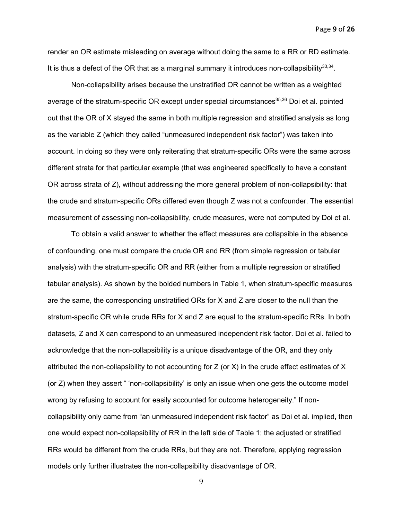Page **9** of **26**

render an OR estimate misleading on average without doing the same to a RR or RD estimate. It is thus a defect of the OR that as a marginal summary it introduces non-collapsibility<sup>33,34</sup>.

Non-collapsibility arises because the unstratified OR cannot be written as a weighted average of the stratum-specific OR except under special circumstances<sup>35,36</sup> Doi et al. pointed out that the OR of X stayed the same in both multiple regression and stratified analysis as long as the variable Z (which they called "unmeasured independent risk factor") was taken into account. In doing so they were only reiterating that stratum-specific ORs were the same across different strata for that particular example (that was engineered specifically to have a constant OR across strata of Z), without addressing the more general problem of non-collapsibility: that the crude and stratum-specific ORs differed even though Z was not a confounder. The essential measurement of assessing non-collapsibility, crude measures, were not computed by Doi et al.

To obtain a valid answer to whether the effect measures are collapsible in the absence of confounding, one must compare the crude OR and RR (from simple regression or tabular analysis) with the stratum-specific OR and RR (either from a multiple regression or stratified tabular analysis). As shown by the bolded numbers in Table 1, when stratum-specific measures are the same, the corresponding unstratified ORs for X and Z are closer to the null than the stratum-specific OR while crude RRs for X and Z are equal to the stratum-specific RRs. In both datasets, Z and X can correspond to an unmeasured independent risk factor. Doi et al. failed to acknowledge that the non-collapsibility is a unique disadvantage of the OR, and they only attributed the non-collapsibility to not accounting for  $Z$  (or  $X$ ) in the crude effect estimates of  $X$ (or Z) when they assert " 'non-collapsibility' is only an issue when one gets the outcome model wrong by refusing to account for easily accounted for outcome heterogeneity." If noncollapsibility only came from "an unmeasured independent risk factor" as Doi et al. implied, then one would expect non-collapsibility of RR in the left side of Table 1; the adjusted or stratified RRs would be different from the crude RRs, but they are not. Therefore, applying regression models only further illustrates the non-collapsibility disadvantage of OR.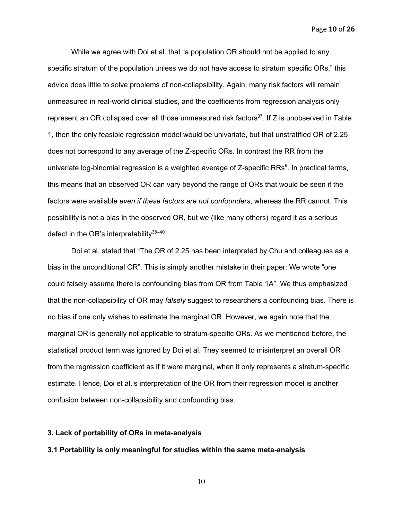Page **10** of **26**

While we agree with Doi et al. that "a population OR should not be applied to any specific stratum of the population unless we do not have access to stratum specific ORs," this advice does little to solve problems of non-collapsibility. Again, many risk factors will remain unmeasured in real-world clinical studies, and the coefficients from regression analysis only represent an OR collapsed over all those unmeasured risk factors $37$ . If Z is unobserved in Table 1, then the only feasible regression model would be univariate, but that unstratified OR of 2.25 does not correspond to any average of the Z-specific ORs. In contrast the RR from the univariate log-binomial regression is a weighted average of Z-specific RRs $^{9}$ . In practical terms, this means that an observed OR can vary beyond the range of ORs that would be seen if the factors were available *even if these factors are not confounders*, whereas the RR cannot. This possibility is not a bias in the observed OR, but we (like many others) regard it as a serious defect in the OR's interpretability $38-40$ .

Doi et al. stated that "The OR of 2.25 has been interpreted by Chu and colleagues as a bias in the unconditional OR". This is simply another mistake in their paper: We wrote "one could falsely assume there is confounding bias from OR from Table 1A". We thus emphasized that the non-collapsibility of OR may *falsely* suggest to researchers a confounding bias. There is no bias if one only wishes to estimate the marginal OR. However, we again note that the marginal OR is generally not applicable to stratum-specific ORs. As we mentioned before, the statistical product term was ignored by Doi et al. They seemed to misinterpret an overall OR from the regression coefficient as if it were marginal, when it only represents a stratum-specific estimate. Hence, Doi et al.'s interpretation of the OR from their regression model is another confusion between non-collapsibility and confounding bias.

## **3. Lack of portability of ORs in meta-analysis**

#### **3.1 Portability is only meaningful for studies within the same meta-analysis**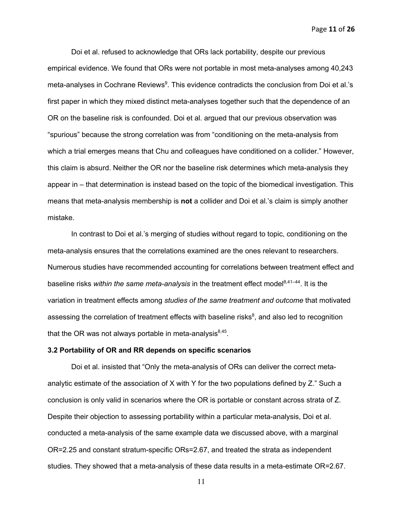Page **11** of **26**

Doi et al. refused to acknowledge that ORs lack portability, despite our previous empirical evidence. We found that ORs were not portable in most meta-analyses among 40,243 meta-analyses in Cochrane Reviews<sup>9</sup>. This evidence contradicts the conclusion from Doi et al.'s first paper in which they mixed distinct meta-analyses together such that the dependence of an OR on the baseline risk is confounded. Doi et al. argued that our previous observation was "spurious" because the strong correlation was from "conditioning on the meta-analysis from which a trial emerges means that Chu and colleagues have conditioned on a collider." However, this claim is absurd. Neither the OR nor the baseline risk determines which meta-analysis they appear in – that determination is instead based on the topic of the biomedical investigation. This means that meta-analysis membership is **not** a collider and Doi et al.'s claim is simply another mistake.

In contrast to Doi et al.'s merging of studies without regard to topic, conditioning on the meta-analysis ensures that the correlations examined are the ones relevant to researchers. Numerous studies have recommended accounting for correlations between treatment effect and baseline risks *within the same meta-analysis* in the treatment effect model<sup>8,41–44</sup>. It is the variation in treatment effects among *studies of the same treatment and outcome* that motivated assessing the correlation of treatment effects with baseline risks $8$ , and also led to recognition that the OR was not always portable in meta-analysis $^{8,45}$ .

#### **3.2 Portability of OR and RR depends on specific scenarios**

Doi et al. insisted that "Only the meta-analysis of ORs can deliver the correct metaanalytic estimate of the association of X with Y for the two populations defined by Z." Such a conclusion is only valid in scenarios where the OR is portable or constant across strata of Z. Despite their objection to assessing portability within a particular meta-analysis, Doi et al. conducted a meta-analysis of the same example data we discussed above, with a marginal OR=2.25 and constant stratum-specific ORs=2.67, and treated the strata as independent studies. They showed that a meta-analysis of these data results in a meta-estimate OR=2.67.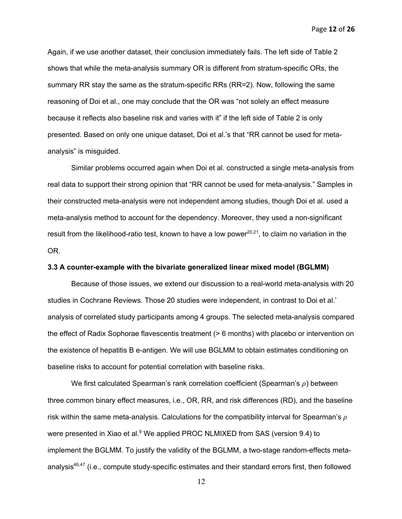Page **12** of **26**

Again, if we use another dataset, their conclusion immediately fails. The left side of Table 2 shows that while the meta-analysis summary OR is different from stratum-specific ORs, the summary RR stay the same as the stratum-specific RRs (RR=2). Now, following the same reasoning of Doi et al., one may conclude that the OR was "not solely an effect measure because it reflects also baseline risk and varies with it" if the left side of Table 2 is only presented. Based on only one unique dataset, Doi et al.'s that "RR cannot be used for metaanalysis" is misguided.

Similar problems occurred again when Doi et al. constructed a single meta-analysis from real data to support their strong opinion that "RR cannot be used for meta-analysis." Samples in their constructed meta-analysis were not independent among studies, though Doi et al. used a meta-analysis method to account for the dependency. Moreover, they used a non-significant result from the likelihood-ratio test, known to have a low power<sup>20,21</sup>, to claim no variation in the OR.

### **3.3 A counter-example with the bivariate generalized linear mixed model (BGLMM)**

Because of those issues, we extend our discussion to a real-world meta-analysis with 20 studies in Cochrane Reviews. Those 20 studies were independent, in contrast to Doi et al.' analysis of correlated study participants among 4 groups. The selected meta-analysis compared the effect of Radix Sophorae flavescentis treatment (> 6 months) with placebo or intervention on the existence of hepatitis B e-antigen. We will use BGLMM to obtain estimates conditioning on baseline risks to account for potential correlation with baseline risks.

We first calculated Spearman's rank correlation coefficient (Spearman's  $\rho$ ) between three common binary effect measures, i.e., OR, RR, and risk differences (RD), and the baseline risk within the same meta-analysis. Calculations for the compatibility interval for Spearman's  $\rho$ were presented in Xiao et al.<sup>9</sup> We applied PROC NLMIXED from SAS (version 9.4) to implement the BGLMM. To justify the validity of the BGLMM, a two-stage random-effects metaanalysis<sup>46,47</sup> (i.e., compute study-specific estimates and their standard errors first, then followed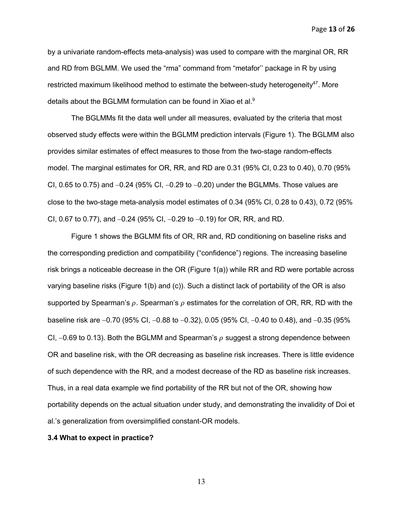Page **13** of **26**

by a univariate random-effects meta-analysis) was used to compare with the marginal OR, RR and RD from BGLMM. We used the "rma" command from "metafor'' package in R by using restricted maximum likelihood method to estimate the between-study heterogeneity $47$ . More details about the BGLMM formulation can be found in Xiao et al.<sup>9</sup>

The BGLMMs fit the data well under all measures, evaluated by the criteria that most observed study effects were within the BGLMM prediction intervals (Figure 1). The BGLMM also provides similar estimates of effect measures to those from the two-stage random-effects model. The marginal estimates for OR, RR, and RD are 0.31 (95% CI, 0.23 to 0.40), 0.70 (95% CI, 0.65 to 0.75) and  $-0.24$  (95% CI,  $-0.29$  to  $-0.20$ ) under the BGLMMs. Those values are close to the two-stage meta-analysis model estimates of 0.34 (95% CI, 0.28 to 0.43), 0.72 (95% CI, 0.67 to 0.77), and  $-0.24$  (95% CI,  $-0.29$  to  $-0.19$ ) for OR, RR, and RD.

Figure 1 shows the BGLMM fits of OR, RR and, RD conditioning on baseline risks and the corresponding prediction and compatibility ("confidence") regions. The increasing baseline risk brings a noticeable decrease in the OR (Figure 1(a)) while RR and RD were portable across varying baseline risks (Figure 1(b) and (c)). Such a distinct lack of portability of the OR is also supported by Spearman's  $\rho$ . Spearman's  $\rho$  estimates for the correlation of OR, RR, RD with the baseline risk are  $-0.70$  (95% CI,  $-0.88$  to  $-0.32$ ), 0.05 (95% CI,  $-0.40$  to 0.48), and  $-0.35$  (95% CI,  $-0.69$  to 0.13). Both the BGLMM and Spearman's  $\rho$  suggest a strong dependence between OR and baseline risk, with the OR decreasing as baseline risk increases. There is little evidence of such dependence with the RR, and a modest decrease of the RD as baseline risk increases. Thus, in a real data example we find portability of the RR but not of the OR, showing how portability depends on the actual situation under study, and demonstrating the invalidity of Doi et al.'s generalization from oversimplified constant-OR models.

#### **3.4 What to expect in practice?**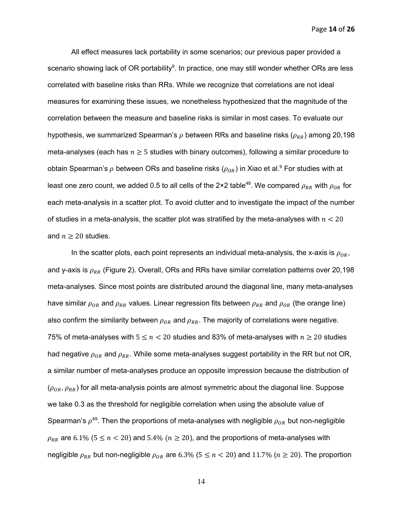Page **14** of **26**

All effect measures lack portability in some scenarios; our previous paper provided a scenario showing lack of OR portability $^9$ . In practice, one may still wonder whether ORs are less correlated with baseline risks than RRs. While we recognize that correlations are not ideal measures for examining these issues, we nonetheless hypothesized that the magnitude of the correlation between the measure and baseline risks is similar in most cases. To evaluate our hypothesis, we summarized Spearman's  $\rho$  between RRs and baseline risks ( $\rho_{RR}$ ) among 20,198 meta-analyses (each has  $n \geq 5$  studies with binary outcomes), following a similar procedure to obtain Spearman's  $\rho$  between ORs and baseline risks ( $\rho_{OR}$ ) in Xiao et al. $^9$  For studies with at least one zero count, we added 0.5 to all cells of the 2×2 table<sup>48</sup>. We compared  $\rho_{RR}$  with  $\rho_{OR}$  for each meta-analysis in a scatter plot. To avoid clutter and to investigate the impact of the number of studies in a meta-analysis, the scatter plot was stratified by the meta-analyses with  $n < 20$ and  $n \geq 20$  studies.

In the scatter plots, each point represents an individual meta-analysis, the x-axis is  $\rho_{OR}$ , and y-axis is  $\rho_{RR}$  (Figure 2). Overall, ORs and RRs have similar correlation patterns over 20,198 meta-analyses. Since most points are distributed around the diagonal line, many meta-analyses have similar  $\rho_{OR}$  and  $\rho_{RR}$  values. Linear regression fits between  $\rho_{RR}$  and  $\rho_{OR}$  (the orange line) also confirm the similarity between  $\rho_{OR}$  and  $\rho_{RR}$ . The majority of correlations were negative. 75% of meta-analyses with  $5 \le n < 20$  studies and 83% of meta-analyses with  $n \ge 20$  studies had negative  $\rho_{OR}$  and  $\rho_{RR}$ . While some meta-analyses suggest portability in the RR but not OR, a similar number of meta-analyses produce an opposite impression because the distribution of  $(\rho_{OR}, \rho_{RR})$  for all meta-analysis points are almost symmetric about the diagonal line. Suppose we take 0.3 as the threshold for negligible correlation when using the absolute value of Spearman's  $\rho^{49}$ . Then the proportions of meta-analyses with negligible  $\rho_{OR}$  but non-negligible  $\rho_{RR}$  are 6.1% (5  $\leq$  n < 20) and 5.4% ( $n \geq 20$ ), and the proportions of meta-analyses with negligible  $\rho_{RR}$  but non-negligible  $\rho_{OR}$  are 6.3% (5  $\leq$  n  $<$  20) and 11.7% ( $n \geq 20$ ). The proportion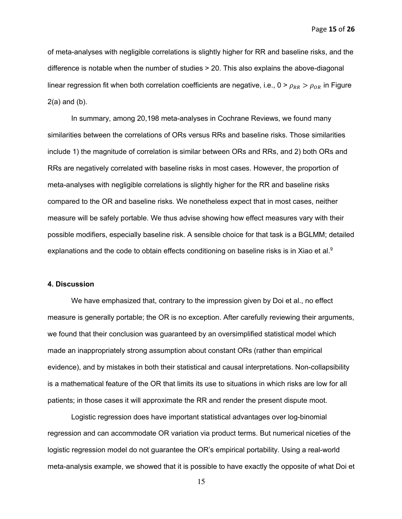Page **15** of **26**

of meta-analyses with negligible correlations is slightly higher for RR and baseline risks, and the difference is notable when the number of studies > 20. This also explains the above-diagonal linear regression fit when both correlation coefficients are negative, i.e.,  $0 > \rho_{RR} > \rho_{OR}$  in Figure 2(a) and (b).

In summary, among 20,198 meta-analyses in Cochrane Reviews, we found many similarities between the correlations of ORs versus RRs and baseline risks. Those similarities include 1) the magnitude of correlation is similar between ORs and RRs, and 2) both ORs and RRs are negatively correlated with baseline risks in most cases. However, the proportion of meta-analyses with negligible correlations is slightly higher for the RR and baseline risks compared to the OR and baseline risks. We nonetheless expect that in most cases, neither measure will be safely portable. We thus advise showing how effect measures vary with their possible modifiers, especially baseline risk. A sensible choice for that task is a BGLMM; detailed explanations and the code to obtain effects conditioning on baseline risks is in Xiao et al.<sup>9</sup>

## **4. Discussion**

We have emphasized that, contrary to the impression given by Doi et al., no effect measure is generally portable; the OR is no exception. After carefully reviewing their arguments, we found that their conclusion was guaranteed by an oversimplified statistical model which made an inappropriately strong assumption about constant ORs (rather than empirical evidence), and by mistakes in both their statistical and causal interpretations. Non-collapsibility is a mathematical feature of the OR that limits its use to situations in which risks are low for all patients; in those cases it will approximate the RR and render the present dispute moot.

Logistic regression does have important statistical advantages over log-binomial regression and can accommodate OR variation via product terms. But numerical niceties of the logistic regression model do not guarantee the OR's empirical portability. Using a real-world meta-analysis example, we showed that it is possible to have exactly the opposite of what Doi et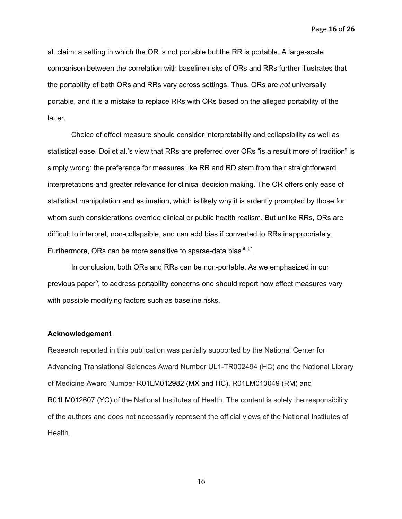Page **16** of **26**

al. claim: a setting in which the OR is not portable but the RR is portable. A large-scale comparison between the correlation with baseline risks of ORs and RRs further illustrates that the portability of both ORs and RRs vary across settings. Thus, ORs are *not* universally portable, and it is a mistake to replace RRs with ORs based on the alleged portability of the latter.

Choice of effect measure should consider interpretability and collapsibility as well as statistical ease. Doi et al.'s view that RRs are preferred over ORs "is a result more of tradition" is simply wrong: the preference for measures like RR and RD stem from their straightforward interpretations and greater relevance for clinical decision making. The OR offers only ease of statistical manipulation and estimation, which is likely why it is ardently promoted by those for whom such considerations override clinical or public health realism. But unlike RRs, ORs are difficult to interpret, non-collapsible, and can add bias if converted to RRs inappropriately. Furthermore, ORs can be more sensitive to sparse-data bias $50,51$ .

In conclusion, both ORs and RRs can be non-portable. As we emphasized in our previous paper<sup>9</sup>, to address portability concerns one should report how effect measures vary with possible modifying factors such as baseline risks.

#### **Acknowledgement**

Research reported in this publication was partially supported by the National Center for Advancing Translational Sciences Award Number UL1-TR002494 (HC) and the National Library of Medicine Award Number R01LM012982 (MX and HC), R01LM013049 (RM) and R01LM012607 (YC) of the National Institutes of Health. The content is solely the responsibility of the authors and does not necessarily represent the official views of the National Institutes of Health.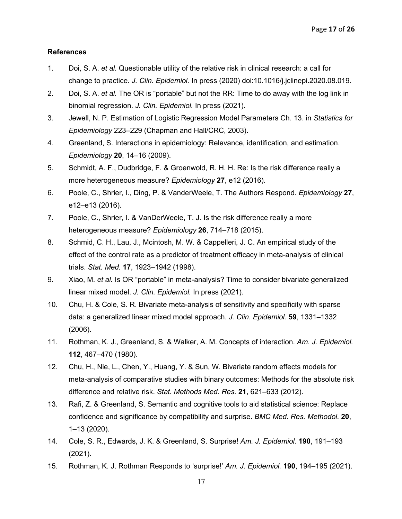## **References**

- 1. Doi, S. A. *et al.* Questionable utility of the relative risk in clinical research: a call for change to practice. *J. Clin. Epidemiol.* In press (2020) doi:10.1016/j.jclinepi.2020.08.019.
- 2. Doi, S. A. *et al.* The OR is "portable" but not the RR: Time to do away with the log link in binomial regression. *J. Clin. Epidemiol.* In press (2021).
- 3. Jewell, N. P. Estimation of Logistic Regression Model Parameters Ch. 13. in *Statistics for Epidemiology* 223–229 (Chapman and Hall/CRC, 2003).
- 4. Greenland, S. Interactions in epidemiology: Relevance, identification, and estimation. *Epidemiology* **20**, 14–16 (2009).
- 5. Schmidt, A. F., Dudbridge, F. & Groenwold, R. H. H. Re: Is the risk difference really a more heterogeneous measure? *Epidemiology* **27**, e12 (2016).
- 6. Poole, C., Shrier, I., Ding, P. & VanderWeele, T. The Authors Respond. *Epidemiology* **27**, e12–e13 (2016).
- 7. Poole, C., Shrier, I. & VanDerWeele, T. J. Is the risk difference really a more heterogeneous measure? *Epidemiology* **26**, 714–718 (2015).
- 8. Schmid, C. H., Lau, J., Mcintosh, M. W. & Cappelleri, J. C. An empirical study of the effect of the control rate as a predictor of treatment efficacy in meta-analysis of clinical trials. *Stat. Med.* **17**, 1923–1942 (1998).
- 9. Xiao, M. *et al.* Is OR "portable" in meta-analysis? Time to consider bivariate generalized linear mixed model. *J. Clin. Epidemiol.* In press (2021).
- 10. Chu, H. & Cole, S. R. Bivariate meta-analysis of sensitivity and specificity with sparse data: a generalized linear mixed model approach. *J. Clin. Epidemiol.* **59**, 1331–1332 (2006).
- 11. Rothman, K. J., Greenland, S. & Walker, A. M. Concepts of interaction. *Am. J. Epidemiol.* **112**, 467–470 (1980).
- 12. Chu, H., Nie, L., Chen, Y., Huang, Y. & Sun, W. Bivariate random effects models for meta-analysis of comparative studies with binary outcomes: Methods for the absolute risk difference and relative risk. *Stat. Methods Med. Res.* **21**, 621–633 (2012).
- 13. Rafi, Z. & Greenland, S. Semantic and cognitive tools to aid statistical science: Replace confidence and significance by compatibility and surprise. *BMC Med. Res. Methodol.* **20**, 1–13 (2020).
- 14. Cole, S. R., Edwards, J. K. & Greenland, S. Surprise! *Am. J. Epidemiol.* **190**, 191–193 (2021).
- 15. Rothman, K. J. Rothman Responds to 'surprise!' *Am. J. Epidemiol.* **190**, 194–195 (2021).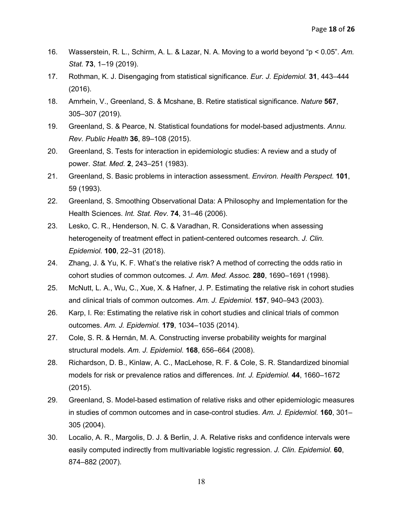- 16. Wasserstein, R. L., Schirm, A. L. & Lazar, N. A. Moving to a world beyond "p < 0.05". *Am. Stat.* **73**, 1–19 (2019).
- 17. Rothman, K. J. Disengaging from statistical significance. *Eur. J. Epidemiol.* **31**, 443–444 (2016).
- 18. Amrhein, V., Greenland, S. & Mcshane, B. Retire statistical significance. *Nature* **567**, 305–307 (2019).
- 19. Greenland, S. & Pearce, N. Statistical foundations for model-based adjustments. *Annu. Rev. Public Health* **36**, 89–108 (2015).
- 20. Greenland, S. Tests for interaction in epidemiologic studies: A review and a study of power. *Stat. Med.* **2**, 243–251 (1983).
- 21. Greenland, S. Basic problems in interaction assessment. *Environ. Health Perspect.* **101**, 59 (1993).
- 22. Greenland, S. Smoothing Observational Data: A Philosophy and Implementation for the Health Sciences. *Int. Stat. Rev.* **74**, 31–46 (2006).
- 23. Lesko, C. R., Henderson, N. C. & Varadhan, R. Considerations when assessing heterogeneity of treatment effect in patient-centered outcomes research. *J. Clin. Epidemiol.* **100**, 22–31 (2018).
- 24. Zhang, J. & Yu, K. F. What's the relative risk? A method of correcting the odds ratio in cohort studies of common outcomes. *J. Am. Med. Assoc.* **280**, 1690–1691 (1998).
- 25. McNutt, L. A., Wu, C., Xue, X. & Hafner, J. P. Estimating the relative risk in cohort studies and clinical trials of common outcomes. *Am. J. Epidemiol.* **157**, 940–943 (2003).
- 26. Karp, I. Re: Estimating the relative risk in cohort studies and clinical trials of common outcomes. *Am. J. Epidemiol.* **179**, 1034–1035 (2014).
- 27. Cole, S. R. & Hernán, M. A. Constructing inverse probability weights for marginal structural models. *Am. J. Epidemiol.* **168**, 656–664 (2008).
- 28. Richardson, D. B., Kinlaw, A. C., MacLehose, R. F. & Cole, S. R. Standardized binomial models for risk or prevalence ratios and differences. *Int. J. Epidemiol.* **44**, 1660–1672 (2015).
- 29. Greenland, S. Model-based estimation of relative risks and other epidemiologic measures in studies of common outcomes and in case-control studies. *Am. J. Epidemiol.* **160**, 301– 305 (2004).
- 30. Localio, A. R., Margolis, D. J. & Berlin, J. A. Relative risks and confidence intervals were easily computed indirectly from multivariable logistic regression. *J. Clin. Epidemiol.* **60**, 874–882 (2007).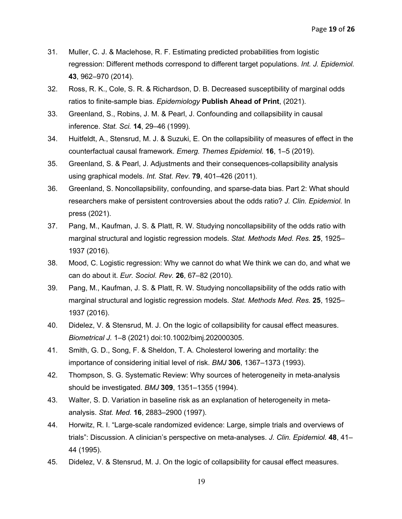- 31. Muller, C. J. & Maclehose, R. F. Estimating predicted probabilities from logistic regression: Different methods correspond to different target populations. *Int. J. Epidemiol.* **43**, 962–970 (2014).
- 32. Ross, R. K., Cole, S. R. & Richardson, D. B. Decreased susceptibility of marginal odds ratios to finite-sample bias. *Epidemiology* **Publish Ahead of Print**, (2021).
- 33. Greenland, S., Robins, J. M. & Pearl, J. Confounding and collapsibility in causal inference. *Stat. Sci.* **14**, 29–46 (1999).
- 34. Huitfeldt, A., Stensrud, M. J. & Suzuki, E. On the collapsibility of measures of effect in the counterfactual causal framework. *Emerg. Themes Epidemiol.* **16**, 1–5 (2019).
- 35. Greenland, S. & Pearl, J. Adjustments and their consequences-collapsibility analysis using graphical models. *Int. Stat. Rev.* **79**, 401–426 (2011).
- 36. Greenland, S. Noncollapsibility, confounding, and sparse-data bias. Part 2: What should researchers make of persistent controversies about the odds ratio? *J. Clin. Epidemiol.* In press (2021).
- 37. Pang, M., Kaufman, J. S. & Platt, R. W. Studying noncollapsibility of the odds ratio with marginal structural and logistic regression models. *Stat. Methods Med. Res.* **25**, 1925– 1937 (2016).
- 38. Mood, C. Logistic regression: Why we cannot do what We think we can do, and what we can do about it. *Eur. Sociol. Rev.* **26**, 67–82 (2010).
- 39. Pang, M., Kaufman, J. S. & Platt, R. W. Studying noncollapsibility of the odds ratio with marginal structural and logistic regression models. *Stat. Methods Med. Res.* **25**, 1925– 1937 (2016).
- 40. Didelez, V. & Stensrud, M. J. On the logic of collapsibility for causal effect measures. *Biometrical J.* 1–8 (2021) doi:10.1002/bimj.202000305.
- 41. Smith, G. D., Song, F. & Sheldon, T. A. Cholesterol lowering and mortality: the importance of considering initial level of risk. *BMJ* **306**, 1367–1373 (1993).
- 42. Thompson, S. G. Systematic Review: Why sources of heterogeneity in meta-analysis should be investigated. *BMJ* **309**, 1351–1355 (1994).
- 43. Walter, S. D. Variation in baseline risk as an explanation of heterogeneity in metaanalysis. *Stat. Med.* **16**, 2883–2900 (1997).
- 44. Horwitz, R. I. "Large-scale randomized evidence: Large, simple trials and overviews of trials": Discussion. A clinician's perspective on meta-analyses. *J. Clin. Epidemiol.* **48**, 41– 44 (1995).
- 45. Didelez, V. & Stensrud, M. J. On the logic of collapsibility for causal effect measures.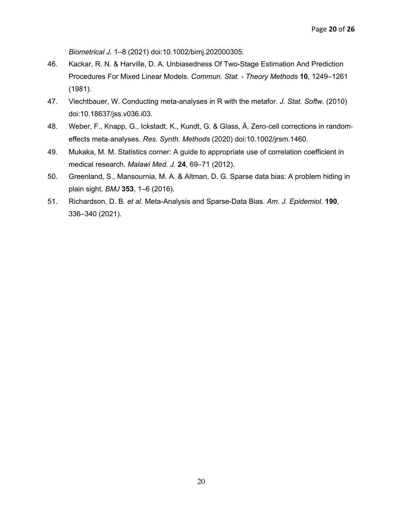*Biometrical J.* 1–8 (2021) doi:10.1002/bimj.202000305.

- 46. Kackar, R. N. & Harville, D. A. Unbiasedness Of Two-Stage Estimation And Prediction Procedures For Mixed Linear Models. *Commun. Stat. - Theory Methods* **10**, 1249–1261 (1981).
- 47. Viechtbauer, W. Conducting meta-analyses in R with the metafor. *J. Stat. Softw.* (2010) doi:10.18637/jss.v036.i03.
- 48. Weber, F., Knapp, G., Ickstadt, K., Kundt, G. & Glass, Ä. Zero-cell corrections in randomeffects meta-analyses. *Res. Synth. Methods* (2020) doi:10.1002/jrsm.1460.
- 49. Mukaka, M. M. Statistics corner: A guide to appropriate use of correlation coefficient in medical research. *Malawi Med. J.* **24**, 69–71 (2012).
- 50. Greenland, S., Mansournia, M. A. & Altman, D. G. Sparse data bias: A problem hiding in plain sight. *BMJ* **353**, 1–6 (2016).
- 51. Richardson, D. B. *et al.* Meta-Analysis and Sparse-Data Bias. *Am. J. Epidemiol.* **190**, 336–340 (2021).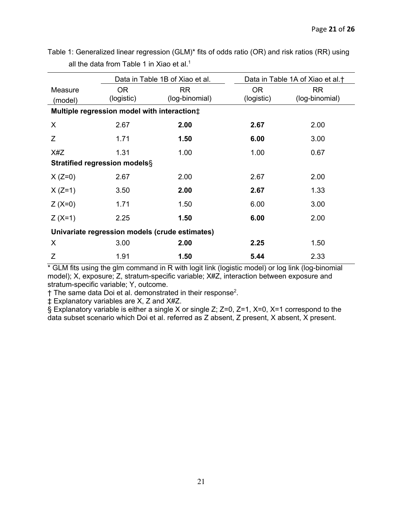|                                                | Data in Table 1B of Xiao et al. |                | Data in Table 1A of Xiao et al. <sup>†</sup> |                |  |  |  |
|------------------------------------------------|---------------------------------|----------------|----------------------------------------------|----------------|--|--|--|
| Measure                                        | <b>OR</b>                       | <b>RR</b>      | <b>OR</b>                                    | <b>RR</b>      |  |  |  |
| (model)                                        | (logistic)                      | (log-binomial) | (logistic)                                   | (log-binomial) |  |  |  |
| Multiple regression model with interaction#    |                                 |                |                                              |                |  |  |  |
| X                                              | 2.67                            | 2.00           | 2.67                                         | 2.00           |  |  |  |
| Z                                              | 1.71                            | 1.50           | 6.00                                         | 3.00           |  |  |  |
| X#Z                                            | 1.31                            | 1.00           | 1.00                                         | 0.67           |  |  |  |
| <b>Stratified regression models</b> §          |                                 |                |                                              |                |  |  |  |
| $X (Z=0)$                                      | 2.67                            | 2.00           | 2.67                                         | 2.00           |  |  |  |
| $X (Z=1)$                                      | 3.50                            | 2.00           | 2.67                                         | 1.33           |  |  |  |
| $Z (X=0)$                                      | 1.71                            | 1.50           | 6.00                                         | 3.00           |  |  |  |
| $Z(X=1)$                                       | 2.25                            | 1.50           | 6.00                                         | 2.00           |  |  |  |
| Univariate regression models (crude estimates) |                                 |                |                                              |                |  |  |  |
| X                                              | 3.00                            | 2.00           | 2.25                                         | 1.50           |  |  |  |
| Ζ                                              | 1.91                            | 1.50           | 5.44                                         | 2.33           |  |  |  |

Table 1: Generalized linear regression (GLM)\* fits of odds ratio (OR) and risk ratios (RR) using all the data from Table 1 in Xiao et al.<sup>1</sup>

\* GLM fits using the glm command in R with logit link (logistic model) or log link (log-binomial model); X, exposure; Z, stratum-specific variable; X#Z, interaction between exposure and stratum-specific variable; Y, outcome.

 $\dagger$  The same data Doi et al. demonstrated in their response<sup>2</sup>.

‡ Explanatory variables are X, Z and X#Z.

§ Explanatory variable is either a single X or single Z; Z=0, Z=1, X=0, X=1 correspond to the data subset scenario which Doi et al. referred as Z absent, Z present, X absent, X present.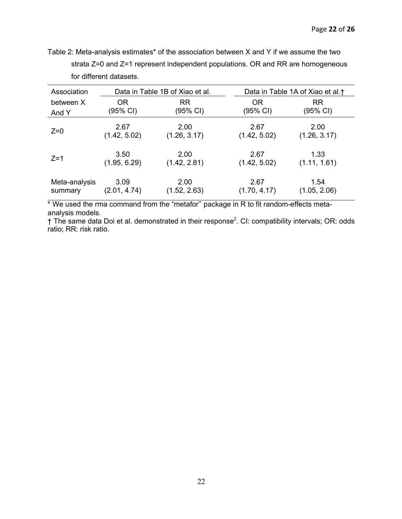Table 2: Meta-analysis estimates\* of the association between X and Y if we assume the two strata Z=0 and Z=1 represent independent populations. OR and RR are homogeneous for different datasets.

| Association   | Data in Table 1B of Xiao et al. |              | Data in Table 1A of Xiao et al. <sup>†</sup> |              |
|---------------|---------------------------------|--------------|----------------------------------------------|--------------|
| between X     | OR.                             | <b>RR</b>    | <b>OR</b>                                    | <b>RR</b>    |
| And Y         | (95% CI)                        | (95% CI)     | (95% CI)                                     | (95% CI)     |
| $Z=0$         | 2.67                            | 2.00         | 2.67                                         | 2.00         |
|               | (1.42, 5.02)                    | (1.26, 3.17) | (1.42, 5.02)                                 | (1.26, 3.17) |
| $Z=1$         | 3.50                            | 2.00         | 2.67                                         | 1.33         |
|               | (1.95, 6.29)                    | (1.42, 2.81) | (1.42, 5.02)                                 | (1.11, 1.61) |
| Meta-analysis | 3.09                            | 2.00         | 2.67                                         | 1.54         |
| summary       | (2.01, 4.74)                    | (1.52, 2.63) | (1.70, 4.17)                                 | (1.05, 2.06) |

\* We used the rma command from the "metafor'' package in R to fit random-effects metaanalysis models.

 $\dagger$  The same data Doi et al. demonstrated in their response<sup>2</sup>. CI: compatibility intervals; OR: odds ratio; RR: risk ratio.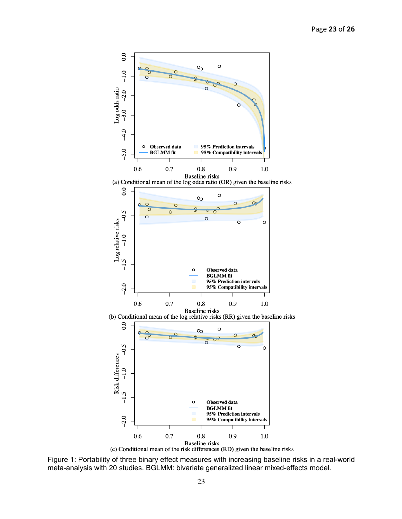

Figure 1: Portability of three binary effect measures with increasing baseline risks in a real-world meta-analysis with 20 studies. BGLMM: bivariate generalized linear mixed-effects model.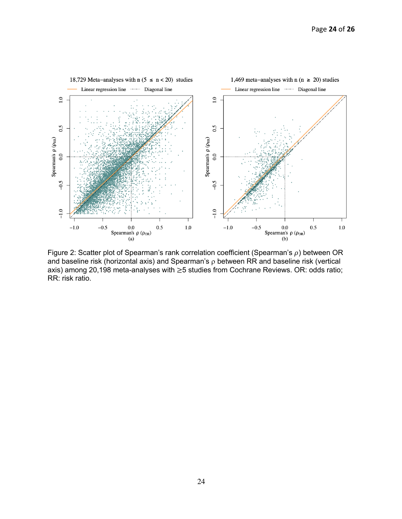

Figure 2: Scatter plot of Spearman's rank correlation coefficient (Spearman's  $\rho$ ) between OR and baseline risk (horizontal axis) and Spearman's  $\rho$  between RR and baseline risk (vertical axis) among 20,198 meta-analyses with ≥5 studies from Cochrane Reviews. OR: odds ratio; RR: risk ratio.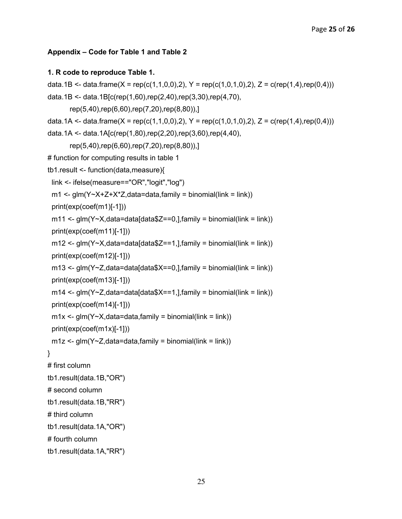### **Appendix – Code for Table 1 and Table 2**

#### **1. R code to reproduce Table 1.**

```
data.1B <- data.frame(X = rep(c(1,1,0,0),2), Y = rep(c(1,0,1,0),2), Z = c(rep(1,4),rep(0,4)))
data.1B <- data.1B[c(rep(1,60),rep(2,40),rep(3,30),rep(4,70),
         rep(5,40),rep(6,60),rep(7,20),rep(8,80)),]
data.1A <- data.frame(X = rep(c(1,1,0,0),2), Y = rep(c(1,0,1,0),2), Z = c(rep(1,4),rep(0,4)))
data.1A <- data.1A[c(rep(1,80),rep(2,20),rep(3,60),rep(4,40),
         rep(5,40),rep(6,60),rep(7,20),rep(8,80)),]
# function for computing results in table 1
tb1.result <- function(data,measure){
  link <- ifelse(measure=="OR","logit","log")
 m1 <- glm(Y~X+Z+X*Z,data=data,family = binomial(link = link))
  print(exp(coef(m1)[-1]))
 m11 \leq g/m(Y \sim X, \text{data}= \text{data}[\text{data$Z=-0,}, \text{family} = \text{binomial}(\text{link} = \text{link})) print(exp(coef(m11)[-1]))
 m12 \leq g/m(Y \sim X, data = data[data \<br>T=1, hamily = binomial(link = link))
  print(exp(coef(m12)[-1]))
 m13 \leq g/m(Y \leq 2, \text{data} = \text{data}[\text{data} \cdot X = 0, \text{data}] = binomial(link = link))
  print(exp(coef(m13)[-1]))
 m14 <- glm(Y \sim Z, data=data[data$X = 1, \lambda family = binomial(link = link))
  print(exp(coef(m14)[-1]))
 m1x < -g/m(Y \sim X, data = data, family = binomial(link = link)) print(exp(coef(m1x)[-1]))
 m1z < -g/m(Y \sim Z, data = data, family = binomial(link = link))}
# first column 
tb1.result(data.1B,"OR")
# second column
tb1.result(data.1B,"RR")
# third column
tb1.result(data.1A,"OR")
# fourth column
tb1.result(data.1A,"RR")
```